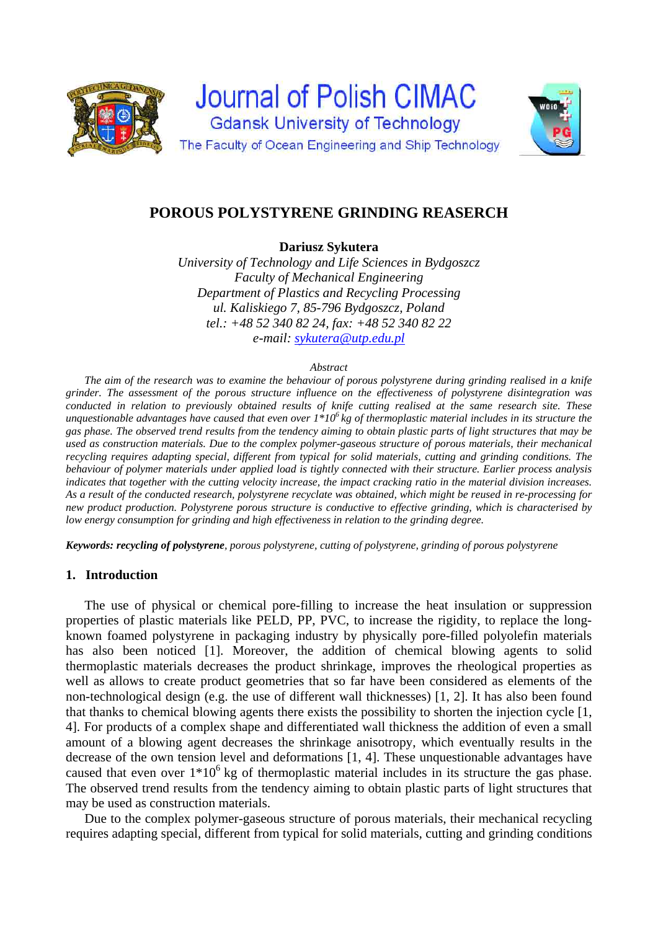



# **POROUS POLYSTYRENE GRINDING REASERCH**

**Dariusz Sykutera** 

*University of Technology and Life Sciences in Bydgoszcz Faculty of Mechanical Engineering Department of Plastics and Recycling Processing ul. Kaliskiego 7, 85-796 Bydgoszcz, Poland tel.: +48 52 340 82 24, fax: +48 52 340 82 22 e-mail: sykutera@utp.edu.pl* 

#### *Abstract*

*The aim of the research was to examine the behaviour of porous polystyrene during grinding realised in a knife grinder. The assessment of the porous structure influence on the effectiveness of polystyrene disintegration was conducted in relation to previously obtained results of knife cutting realised at the same research site. These unquestionable advantages have caused that even over 1\*106 kg of thermoplastic material includes in its structure the gas phase. The observed trend results from the tendency aiming to obtain plastic parts of light structures that may be used as construction materials. Due to the complex polymer-gaseous structure of porous materials, their mechanical recycling requires adapting special, different from typical for solid materials, cutting and grinding conditions. The behaviour of polymer materials under applied load is tightly connected with their structure. Earlier process analysis indicates that together with the cutting velocity increase, the impact cracking ratio in the material division increases. As a result of the conducted research, polystyrene recyclate was obtained, which might be reused in re-processing for new product production. Polystyrene porous structure is conductive to effective grinding, which is characterised by low energy consumption for grinding and high effectiveness in relation to the grinding degree.* 

*Keywords: recycling of polystyrene, porous polystyrene, cutting of polystyrene, grinding of porous polystyrene* 

# **1. Introduction**

The use of physical or chemical pore-filling to increase the heat insulation or suppression properties of plastic materials like PELD, PP, PVC, to increase the rigidity, to replace the longknown foamed polystyrene in packaging industry by physically pore-filled polyolefin materials has also been noticed [1]. Moreover, the addition of chemical blowing agents to solid thermoplastic materials decreases the product shrinkage, improves the rheological properties as well as allows to create product geometries that so far have been considered as elements of the non-technological design (e.g. the use of different wall thicknesses) [1, 2]. It has also been found that thanks to chemical blowing agents there exists the possibility to shorten the injection cycle [1, 4]. For products of a complex shape and differentiated wall thickness the addition of even a small amount of a blowing agent decreases the shrinkage anisotropy, which eventually results in the decrease of the own tension level and deformations [1, 4]. These unquestionable advantages have caused that even over  $1*10^6$  kg of thermoplastic material includes in its structure the gas phase. The observed trend results from the tendency aiming to obtain plastic parts of light structures that may be used as construction materials.

Due to the complex polymer-gaseous structure of porous materials, their mechanical recycling requires adapting special, different from typical for solid materials, cutting and grinding conditions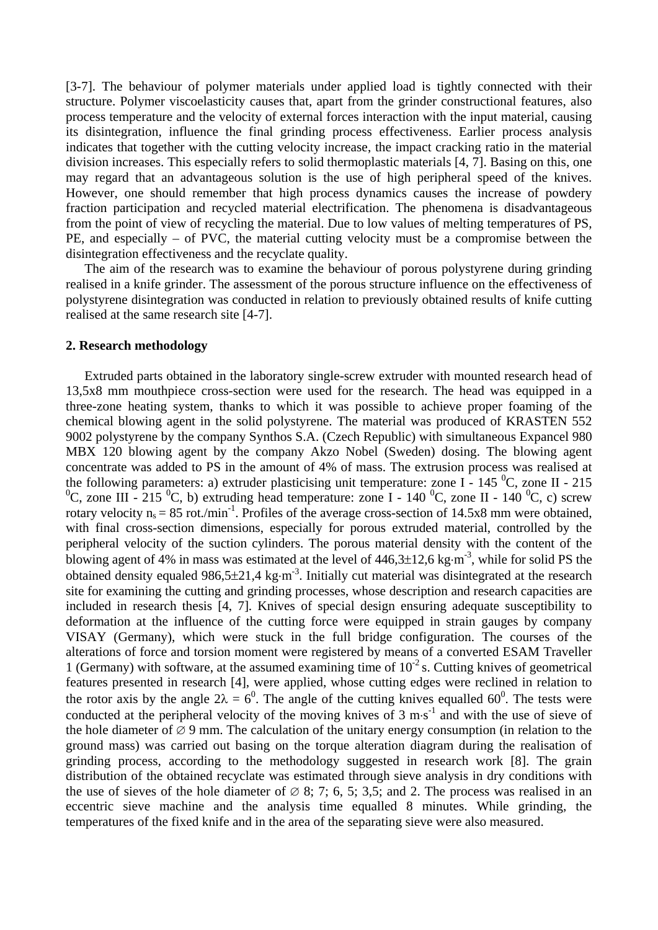[3-7]. The behaviour of polymer materials under applied load is tightly connected with their structure. Polymer viscoelasticity causes that, apart from the grinder constructional features, also process temperature and the velocity of external forces interaction with the input material, causing its disintegration, influence the final grinding process effectiveness. Earlier process analysis indicates that together with the cutting velocity increase, the impact cracking ratio in the material division increases. This especially refers to solid thermoplastic materials [4, 7]. Basing on this, one may regard that an advantageous solution is the use of high peripheral speed of the knives. However, one should remember that high process dynamics causes the increase of powdery fraction participation and recycled material electrification. The phenomena is disadvantageous from the point of view of recycling the material. Due to low values of melting temperatures of PS, PE, and especially – of PVC, the material cutting velocity must be a compromise between the disintegration effectiveness and the recyclate quality.

The aim of the research was to examine the behaviour of porous polystyrene during grinding realised in a knife grinder. The assessment of the porous structure influence on the effectiveness of polystyrene disintegration was conducted in relation to previously obtained results of knife cutting realised at the same research site [4-7].

# **2. Research methodology**

 Extruded parts obtained in the laboratory single-screw extruder with mounted research head of 13,5x8 mm mouthpiece cross-section were used for the research. The head was equipped in a three-zone heating system, thanks to which it was possible to achieve proper foaming of the chemical blowing agent in the solid polystyrene. The material was produced of KRASTEN 552 9002 polystyrene by the company Synthos S.A. (Czech Republic) with simultaneous Expancel 980 MBX 120 blowing agent by the company Akzo Nobel (Sweden) dosing. The blowing agent concentrate was added to PS in the amount of 4% of mass. The extrusion process was realised at the following parameters: a) extruder plasticising unit temperature: zone I - 145  $^{\circ}$ C, zone II - 215 <sup>0</sup>C, zone III - 215 <sup>0</sup>C, b) extruding head temperature: zone I - 140 <sup>0</sup>C, zone II - 140 <sup>0</sup>C, c) screw rotary velocity  $n_s = 85$  rot./min<sup>-1</sup>. Profiles of the average cross-section of 14.5x8 mm were obtained, with final cross-section dimensions, especially for porous extruded material, controlled by the peripheral velocity of the suction cylinders. The porous material density with the content of the blowing agent of 4% in mass was estimated at the level of  $446,3\pm12,6$  kg·m<sup>-3</sup>, while for solid PS the obtained density equaled  $986,5\pm21,4 \text{ kg}\cdot\text{m}^3$ . Initially cut material was disintegrated at the research site for examining the cutting and grinding processes, whose description and research capacities are included in research thesis [4, 7]. Knives of special design ensuring adequate susceptibility to deformation at the influence of the cutting force were equipped in strain gauges by company VISAY (Germany), which were stuck in the full bridge configuration. The courses of the alterations of force and torsion moment were registered by means of a converted ESAM Traveller 1 (Germany) with software, at the assumed examining time of  $10^{-2}$  s. Cutting knives of geometrical features presented in research [4], were applied, whose cutting edges were reclined in relation to the rotor axis by the angle  $2\lambda = 6^0$ . The angle of the cutting knives equalled 60<sup>0</sup>. The tests were conducted at the peripheral velocity of the moving knives of  $3 \text{ m} \cdot \text{s}^{-1}$  and with the use of sieve of the hole diameter of  $\varnothing$  9 mm. The calculation of the unitary energy consumption (in relation to the ground mass) was carried out basing on the torque alteration diagram during the realisation of grinding process, according to the methodology suggested in research work [8]. The grain distribution of the obtained recyclate was estimated through sieve analysis in dry conditions with the use of sieves of the hole diameter of  $\varnothing$  8; 7; 6, 5; 3,5; and 2. The process was realised in an eccentric sieve machine and the analysis time equalled 8 minutes. While grinding, the temperatures of the fixed knife and in the area of the separating sieve were also measured.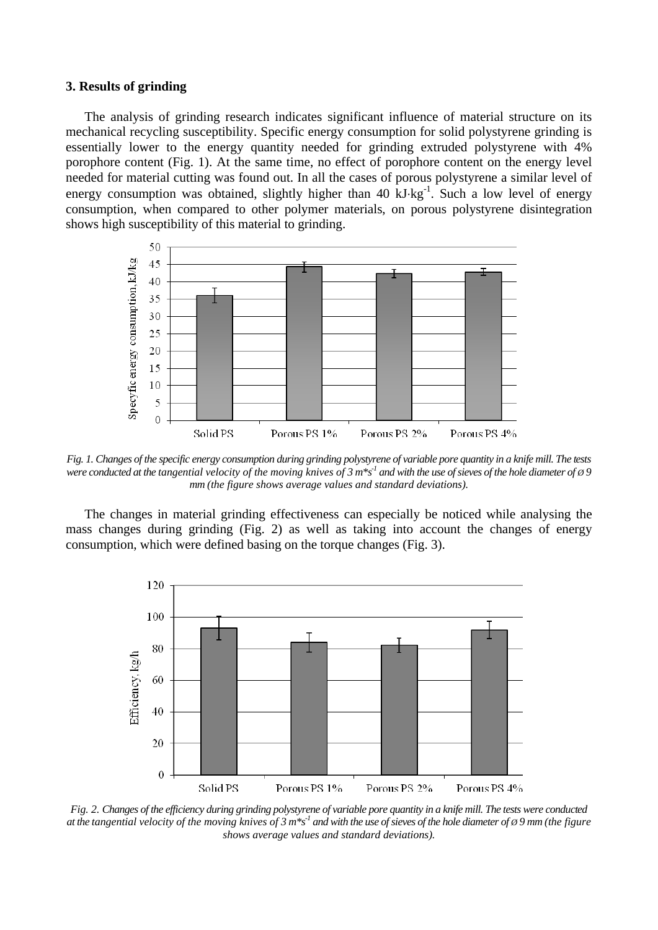#### **3. Results of grinding**

The analysis of grinding research indicates significant influence of material structure on its mechanical recycling susceptibility. Specific energy consumption for solid polystyrene grinding is essentially lower to the energy quantity needed for grinding extruded polystyrene with 4% porophore content (Fig. 1). At the same time, no effect of porophore content on the energy level needed for material cutting was found out. In all the cases of porous polystyrene a similar level of energy consumption was obtained, slightly higher than 40 kJ·kg<sup>-1</sup>. Such a low level of energy consumption, when compared to other polymer materials, on porous polystyrene disintegration shows high susceptibility of this material to grinding.



*Fig. 1. Changes of the specific energy consumption during grinding polystyrene of variable pore quantity in a knife mill. The tests were conducted at the tangential velocity of the moving knives of 3 m\*s<sup>-1</sup> and with the use of sieves of the hole diameter of*  $\varnothing$  *9 mm (the figure shows average values and standard deviations).* 

The changes in material grinding effectiveness can especially be noticed while analysing the mass changes during grinding (Fig. 2) as well as taking into account the changes of energy consumption, which were defined basing on the torque changes (Fig. 3).



*Fig. 2. Changes of the efficiency during grinding polystyrene of variable pore quantity in a knife mill. The tests were conducted at the tangential velocity of the moving knives of 3 m\*s<sup>-1</sup> and with the use of sieves of the hole diameter of*  $\varnothing$  *9 mm (the figure*  $\varnothing$ *) shows average values and standard deviations).*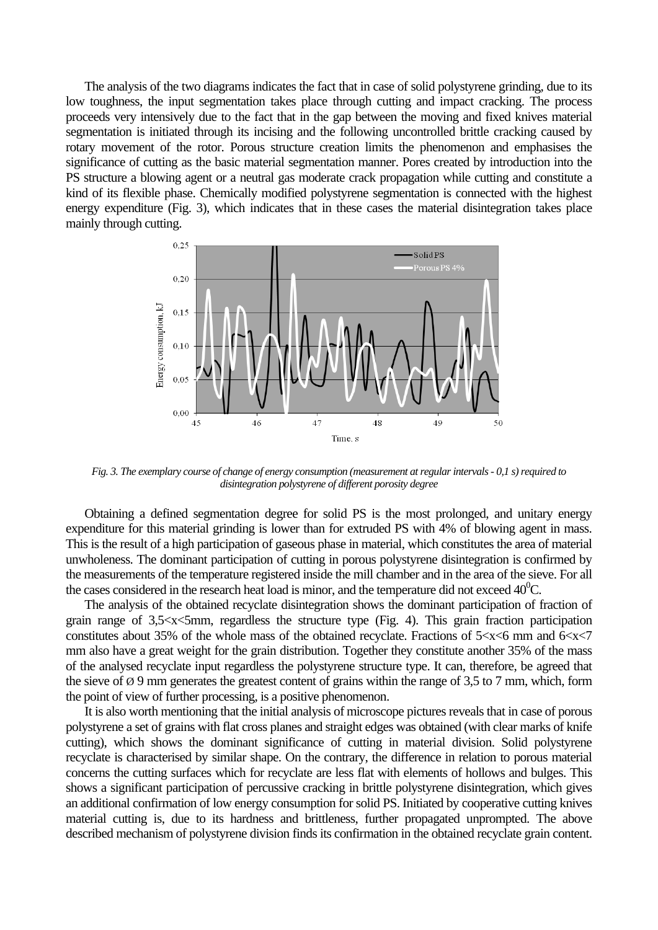The analysis of the two diagrams indicates the fact that in case of solid polystyrene grinding, due to its low toughness, the input segmentation takes place through cutting and impact cracking. The process proceeds very intensively due to the fact that in the gap between the moving and fixed knives material segmentation is initiated through its incising and the following uncontrolled brittle cracking caused by rotary movement of the rotor. Porous structure creation limits the phenomenon and emphasises the significance of cutting as the basic material segmentation manner. Pores created by introduction into the PS structure a blowing agent or a neutral gas moderate crack propagation while cutting and constitute a kind of its flexible phase. Chemically modified polystyrene segmentation is connected with the highest energy expenditure (Fig. 3), which indicates that in these cases the material disintegration takes place mainly through cutting.



*Fig. 3. The exemplary course of change of energy consumption (measurement at regular intervals - 0,1 s) required to disintegration polystyrene of different porosity degree* 

Obtaining a defined segmentation degree for solid PS is the most prolonged, and unitary energy expenditure for this material grinding is lower than for extruded PS with 4% of blowing agent in mass. This is the result of a high participation of gaseous phase in material, which constitutes the area of material unwholeness. The dominant participation of cutting in porous polystyrene disintegration is confirmed by the measurements of the temperature registered inside the mill chamber and in the area of the sieve. For all the cases considered in the research heat load is minor, and the temperature did not exceed  $40^{\circ}$ C.

The analysis of the obtained recyclate disintegration shows the dominant participation of fraction of grain range of 3,5<x<5mm, regardless the structure type (Fig. 4). This grain fraction participation constitutes about 35% of the whole mass of the obtained recyclate. Fractions of  $5 < x < 6$  mm and  $6 < x < 7$ mm also have a great weight for the grain distribution. Together they constitute another 35% of the mass of the analysed recyclate input regardless the polystyrene structure type. It can, therefore, be agreed that the sieve of Ø 9 mm generates the greatest content of grains within the range of 3,5 to 7 mm, which, form the point of view of further processing, is a positive phenomenon.

It is also worth mentioning that the initial analysis of microscope pictures reveals that in case of porous polystyrene a set of grains with flat cross planes and straight edges was obtained (with clear marks of knife cutting), which shows the dominant significance of cutting in material division. Solid polystyrene recyclate is characterised by similar shape. On the contrary, the difference in relation to porous material concerns the cutting surfaces which for recyclate are less flat with elements of hollows and bulges. This shows a significant participation of percussive cracking in brittle polystyrene disintegration, which gives an additional confirmation of low energy consumption for solid PS. Initiated by cooperative cutting knives material cutting is, due to its hardness and brittleness, further propagated unprompted. The above described mechanism of polystyrene division finds its confirmation in the obtained recyclate grain content.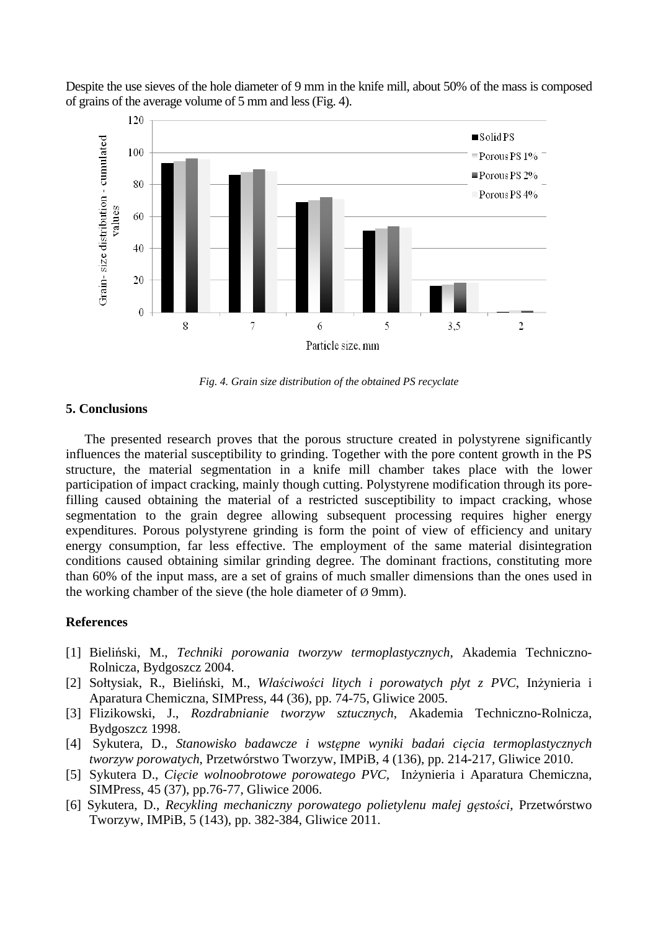Despite the use sieves of the hole diameter of 9 mm in the knife mill, about 50% of the mass is composed of grains of the average volume of 5 mm and less (Fig. 4).



*Fig. 4. Grain size distribution of the obtained PS recyclate* 

#### **5. Conclusions**

The presented research proves that the porous structure created in polystyrene significantly influences the material susceptibility to grinding. Together with the pore content growth in the PS structure, the material segmentation in a knife mill chamber takes place with the lower participation of impact cracking, mainly though cutting. Polystyrene modification through its porefilling caused obtaining the material of a restricted susceptibility to impact cracking, whose segmentation to the grain degree allowing subsequent processing requires higher energy expenditures. Porous polystyrene grinding is form the point of view of efficiency and unitary energy consumption, far less effective. The employment of the same material disintegration conditions caused obtaining similar grinding degree. The dominant fractions, constituting more than 60% of the input mass, are a set of grains of much smaller dimensions than the ones used in the working chamber of the sieve (the hole diameter of  $\varnothing$  9mm).

# **References**

- [1] Bieliński, M., *Techniki porowania tworzyw termoplastycznych*, Akademia Techniczno-Rolnicza, Bydgoszcz 2004.
- [2] Sołtysiak, R., Bieliński, M., *Właściwości litych i porowatych płyt z PVC*, Inżynieria i Aparatura Chemiczna, SIMPress, 44 (36), pp. 74-75, Gliwice 2005.
- [3] Flizikowski, J., *Rozdrabnianie tworzyw sztucznych*, Akademia Techniczno-Rolnicza, Bydgoszcz 1998.
- [4] Sykutera, D., *Stanowisko badawcze i wstępne wyniki badań cięcia termoplastycznych tworzyw porowatych*, Przetwórstwo Tworzyw, IMPiB, 4 (136), pp. 214-217, Gliwice 2010.
- [5] Sykutera D., *Cięcie wolnoobrotowe porowatego PVC,* Inżynieria i Aparatura Chemiczna, SIMPress, 45 (37), pp.76-77, Gliwice 2006.
- [6] Sykutera, D., *Recykling mechaniczny porowatego polietylenu małej gęstości*, Przetwórstwo Tworzyw, IMPiB, 5 (143), pp. 382-384, Gliwice 2011.